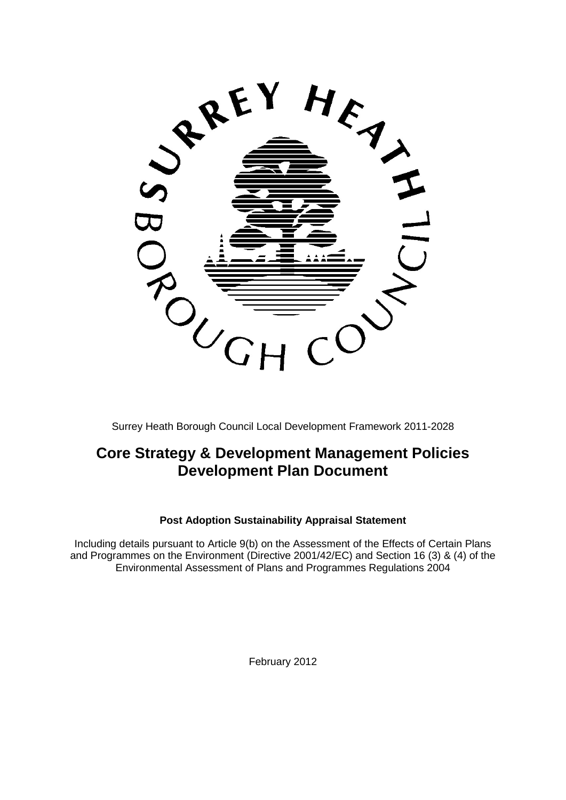

Surrey Heath Borough Council Local Development Framework 2011-2028

# **Core Strategy & Development Management Policies Development Plan Document**

## **Post Adoption Sustainability Appraisal Statement**

Including details pursuant to Article 9(b) on the Assessment of the Effects of Certain Plans and Programmes on the Environment (Directive 2001/42/EC) and Section 16 (3) & (4) of the Environmental Assessment of Plans and Programmes Regulations 2004

February 2012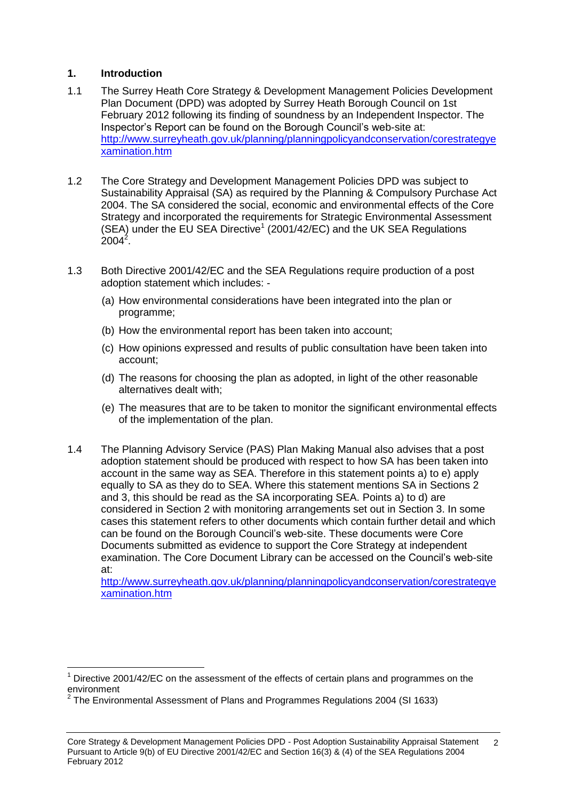#### **1. Introduction**

 $\overline{a}$ 

- 1.1 The Surrey Heath Core Strategy & Development Management Policies Development Plan Document (DPD) was adopted by Surrey Heath Borough Council on 1st February 2012 following its finding of soundness by an Independent Inspector. The Inspector's Report can be found on the Borough Council's web-site at: [http://www.surreyheath.gov.uk/planning/planningpolicyandconservation/corestrategye](http://www.surreyheath.gov.uk/planning/planningpolicyandconservation/corestrategyexamination.htm) [xamination.htm](http://www.surreyheath.gov.uk/planning/planningpolicyandconservation/corestrategyexamination.htm)
- 1.2 The Core Strategy and Development Management Policies DPD was subject to Sustainability Appraisal (SA) as required by the Planning & Compulsory Purchase Act 2004. The SA considered the social, economic and environmental effects of the Core Strategy and incorporated the requirements for Strategic Environmental Assessment  $(SEA)$  under the EU SEA Directive<sup>1</sup> (2001/42/EC) and the UK SEA Regulations  $2004^2$ .
- 1.3 Both Directive 2001/42/EC and the SEA Regulations require production of a post adoption statement which includes: -
	- (a) How environmental considerations have been integrated into the plan or programme;
	- (b) How the environmental report has been taken into account;
	- (c) How opinions expressed and results of public consultation have been taken into account;
	- (d) The reasons for choosing the plan as adopted, in light of the other reasonable alternatives dealt with;
	- (e) The measures that are to be taken to monitor the significant environmental effects of the implementation of the plan.
- 1.4 The Planning Advisory Service (PAS) Plan Making Manual also advises that a post adoption statement should be produced with respect to how SA has been taken into account in the same way as SEA. Therefore in this statement points a) to e) apply equally to SA as they do to SEA. Where this statement mentions SA in Sections 2 and 3, this should be read as the SA incorporating SEA. Points a) to d) are considered in Section 2 with monitoring arrangements set out in Section 3. In some cases this statement refers to other documents which contain further detail and which can be found on the Borough Council's web-site. These documents were Core Documents submitted as evidence to support the Core Strategy at independent examination. The Core Document Library can be accessed on the Council's web-site at:

[http://www.surreyheath.gov.uk/planning/planningpolicyandconservation/corestrategye](http://www.surreyheath.gov.uk/planning/planningpolicyandconservation/corestrategyexamination.htm) [xamination.htm](http://www.surreyheath.gov.uk/planning/planningpolicyandconservation/corestrategyexamination.htm)

 $1$  Directive 2001/42/EC on the assessment of the effects of certain plans and programmes on the environment

 $^2$  The Environmental Assessment of Plans and Programmes Regulations 2004 (SI 1633)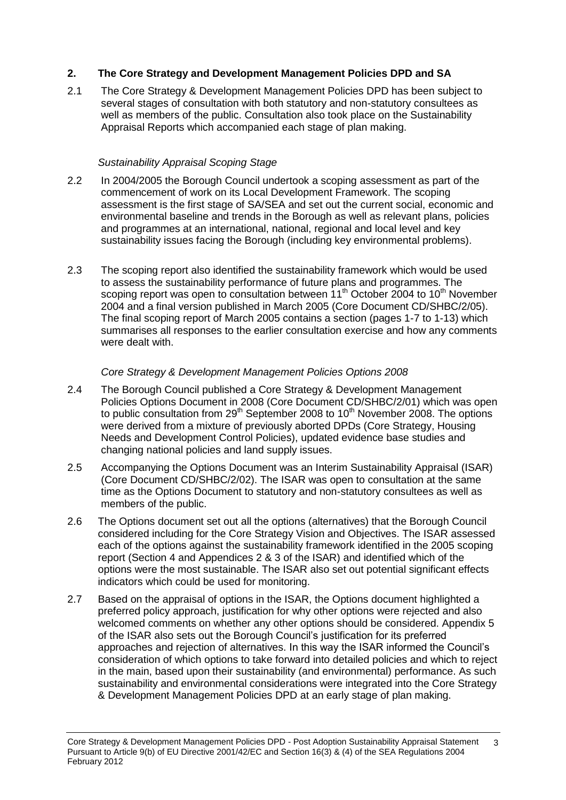## **2. The Core Strategy and Development Management Policies DPD and SA**

2.1 The Core Strategy & Development Management Policies DPD has been subject to several stages of consultation with both statutory and non-statutory consultees as well as members of the public. Consultation also took place on the Sustainability Appraisal Reports which accompanied each stage of plan making.

#### *Sustainability Appraisal Scoping Stage*

- 2.2 In 2004/2005 the Borough Council undertook a scoping assessment as part of the commencement of work on its Local Development Framework. The scoping assessment is the first stage of SA/SEA and set out the current social, economic and environmental baseline and trends in the Borough as well as relevant plans, policies and programmes at an international, national, regional and local level and key sustainability issues facing the Borough (including key environmental problems).
- 2.3 The scoping report also identified the sustainability framework which would be used to assess the sustainability performance of future plans and programmes. The scoping report was open to consultation between  $11<sup>th</sup>$  October 2004 to 10<sup>th</sup> November 2004 and a final version published in March 2005 (Core Document CD/SHBC/2/05). The final scoping report of March 2005 contains a section (pages 1-7 to 1-13) which summarises all responses to the earlier consultation exercise and how any comments were dealt with.

#### *Core Strategy & Development Management Policies Options 2008*

- 2.4 The Borough Council published a Core Strategy & Development Management Policies Options Document in 2008 (Core Document CD/SHBC/2/01) which was open to public consultation from  $29<sup>th</sup>$  September 2008 to  $10<sup>th</sup>$  November 2008. The options were derived from a mixture of previously aborted DPDs (Core Strategy, Housing Needs and Development Control Policies), updated evidence base studies and changing national policies and land supply issues.
- 2.5 Accompanying the Options Document was an Interim Sustainability Appraisal (ISAR) (Core Document CD/SHBC/2/02). The ISAR was open to consultation at the same time as the Options Document to statutory and non-statutory consultees as well as members of the public.
- 2.6 The Options document set out all the options (alternatives) that the Borough Council considered including for the Core Strategy Vision and Objectives. The ISAR assessed each of the options against the sustainability framework identified in the 2005 scoping report (Section 4 and Appendices 2 & 3 of the ISAR) and identified which of the options were the most sustainable. The ISAR also set out potential significant effects indicators which could be used for monitoring.
- 2.7 Based on the appraisal of options in the ISAR, the Options document highlighted a preferred policy approach, justification for why other options were rejected and also welcomed comments on whether any other options should be considered. Appendix 5 of the ISAR also sets out the Borough Council's justification for its preferred approaches and rejection of alternatives. In this way the ISAR informed the Council's consideration of which options to take forward into detailed policies and which to reject in the main, based upon their sustainability (and environmental) performance. As such sustainability and environmental considerations were integrated into the Core Strategy & Development Management Policies DPD at an early stage of plan making.

Core Strategy & Development Management Policies DPD - Post Adoption Sustainability Appraisal Statement Pursuant to Article 9(b) of EU Directive 2001/42/EC and Section 16(3) & (4) of the SEA Regulations 2004 February 2012 3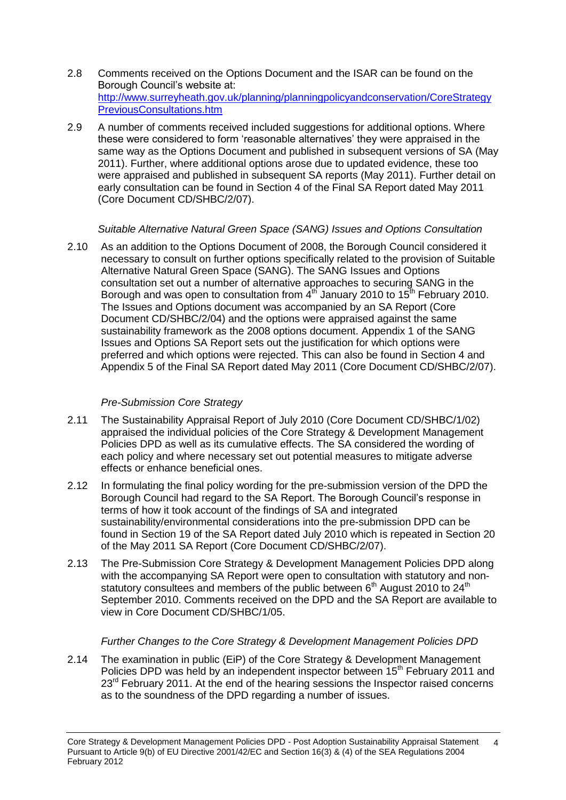- 2.8 Comments received on the Options Document and the ISAR can be found on the Borough Council's website at: [http://www.surreyheath.gov.uk/planning/planningpolicyandconservation/CoreStrategy](http://www.surreyheath.gov.uk/planning/planningpolicyandconservation/CoreStrategyPreviousConsultations.htm) [PreviousConsultations.htm](http://www.surreyheath.gov.uk/planning/planningpolicyandconservation/CoreStrategyPreviousConsultations.htm)
- 2.9 A number of comments received included suggestions for additional options. Where these were considered to form 'reasonable alternatives' they were appraised in the same way as the Options Document and published in subsequent versions of SA (May 2011). Further, where additional options arose due to updated evidence, these too were appraised and published in subsequent SA reports (May 2011). Further detail on early consultation can be found in Section 4 of the Final SA Report dated May 2011 (Core Document CD/SHBC/2/07).

## *Suitable Alternative Natural Green Space (SANG) Issues and Options Consultation*

2.10 As an addition to the Options Document of 2008, the Borough Council considered it necessary to consult on further options specifically related to the provision of Suitable Alternative Natural Green Space (SANG). The SANG Issues and Options consultation set out a number of alternative approaches to securing SANG in the Borough and was open to consultation from  $4<sup>th</sup>$  January 2010 to 15<sup>th</sup> February 2010. The Issues and Options document was accompanied by an SA Report (Core Document CD/SHBC/2/04) and the options were appraised against the same sustainability framework as the 2008 options document. Appendix 1 of the SANG Issues and Options SA Report sets out the justification for which options were preferred and which options were rejected. This can also be found in Section 4 and Appendix 5 of the Final SA Report dated May 2011 (Core Document CD/SHBC/2/07).

## *Pre-Submission Core Strategy*

- 2.11 The Sustainability Appraisal Report of July 2010 (Core Document CD/SHBC/1/02) appraised the individual policies of the Core Strategy & Development Management Policies DPD as well as its cumulative effects. The SA considered the wording of each policy and where necessary set out potential measures to mitigate adverse effects or enhance beneficial ones.
- 2.12 In formulating the final policy wording for the pre-submission version of the DPD the Borough Council had regard to the SA Report. The Borough Council's response in terms of how it took account of the findings of SA and integrated sustainability/environmental considerations into the pre-submission DPD can be found in Section 19 of the SA Report dated July 2010 which is repeated in Section 20 of the May 2011 SA Report (Core Document CD/SHBC/2/07).
- 2.13 The Pre-Submission Core Strategy & Development Management Policies DPD along with the accompanying SA Report were open to consultation with statutory and nonstatutory consultees and members of the public between  $6<sup>th</sup>$  August 2010 to 24<sup>th</sup> September 2010. Comments received on the DPD and the SA Report are available to view in Core Document CD/SHBC/1/05.

## *Further Changes to the Core Strategy & Development Management Policies DPD*

2.14 The examination in public (EiP) of the Core Strategy & Development Management Policies DPD was held by an independent inspector between 15<sup>th</sup> February 2011 and 23<sup>rd</sup> February 2011. At the end of the hearing sessions the Inspector raised concerns as to the soundness of the DPD regarding a number of issues.

Core Strategy & Development Management Policies DPD - Post Adoption Sustainability Appraisal Statement Pursuant to Article 9(b) of EU Directive 2001/42/EC and Section 16(3) & (4) of the SEA Regulations 2004 February 2012 4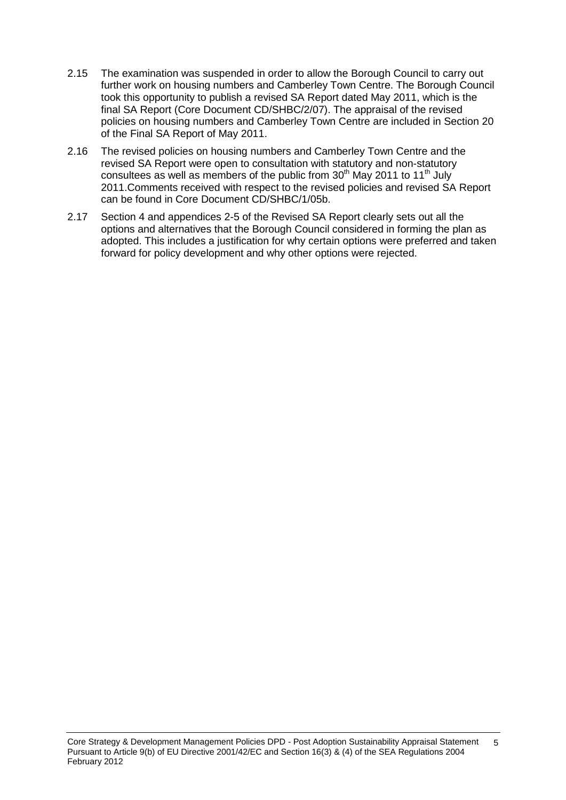- 2.15 The examination was suspended in order to allow the Borough Council to carry out further work on housing numbers and Camberley Town Centre. The Borough Council took this opportunity to publish a revised SA Report dated May 2011, which is the final SA Report (Core Document CD/SHBC/2/07). The appraisal of the revised policies on housing numbers and Camberley Town Centre are included in Section 20 of the Final SA Report of May 2011.
- 2.16 The revised policies on housing numbers and Camberley Town Centre and the revised SA Report were open to consultation with statutory and non-statutory consultees as well as members of the public from  $30<sup>th</sup>$  May 2011 to 11<sup>th</sup> July 2011.Comments received with respect to the revised policies and revised SA Report can be found in Core Document CD/SHBC/1/05b.
- 2.17 Section 4 and appendices 2-5 of the Revised SA Report clearly sets out all the options and alternatives that the Borough Council considered in forming the plan as adopted. This includes a justification for why certain options were preferred and taken forward for policy development and why other options were rejected.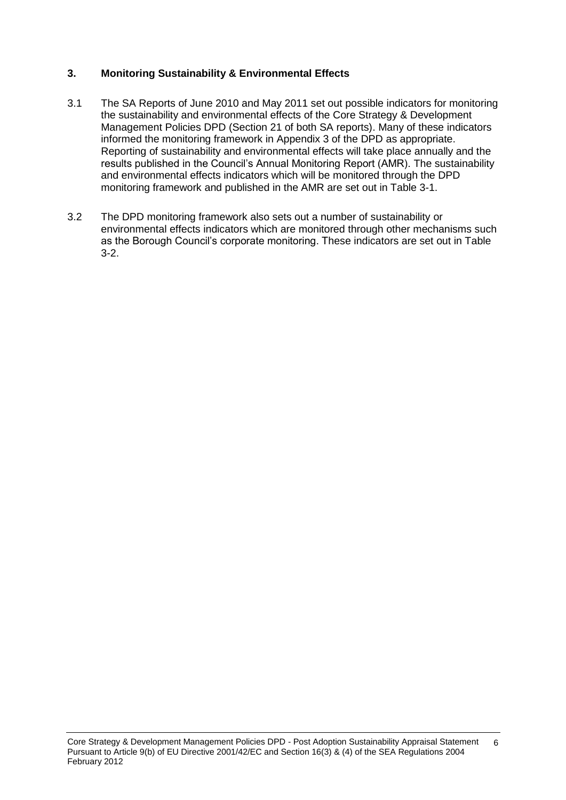## **3. Monitoring Sustainability & Environmental Effects**

- 3.1 The SA Reports of June 2010 and May 2011 set out possible indicators for monitoring the sustainability and environmental effects of the Core Strategy & Development Management Policies DPD (Section 21 of both SA reports). Many of these indicators informed the monitoring framework in Appendix 3 of the DPD as appropriate. Reporting of sustainability and environmental effects will take place annually and the results published in the Council's Annual Monitoring Report (AMR). The sustainability and environmental effects indicators which will be monitored through the DPD monitoring framework and published in the AMR are set out in Table 3-1.
- 3.2 The DPD monitoring framework also sets out a number of sustainability or environmental effects indicators which are monitored through other mechanisms such as the Borough Council's corporate monitoring. These indicators are set out in Table 3-2.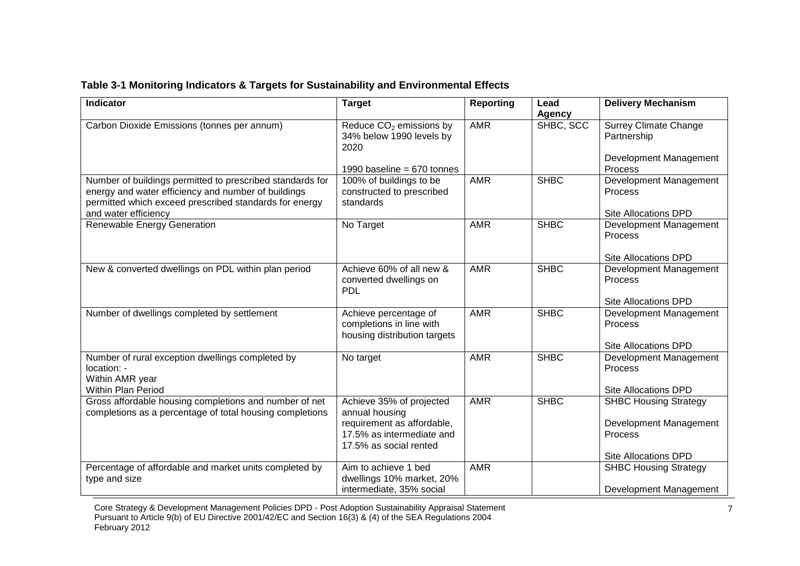| <b>Indicator</b>                                                                                                                                                                                   | <b>Target</b>                                                                                                                   | <b>Reporting</b> | Lead<br><b>Agency</b> | <b>Delivery Mechanism</b>                                                                               |
|----------------------------------------------------------------------------------------------------------------------------------------------------------------------------------------------------|---------------------------------------------------------------------------------------------------------------------------------|------------------|-----------------------|---------------------------------------------------------------------------------------------------------|
| Carbon Dioxide Emissions (tonnes per annum)                                                                                                                                                        | Reduce CO <sub>2</sub> emissions by<br>34% below 1990 levels by<br>2020                                                         | <b>AMR</b>       | SHBC, SCC             | <b>Surrey Climate Change</b><br>Partnership                                                             |
|                                                                                                                                                                                                    | 1990 baseline = $670$ tonnes                                                                                                    |                  |                       | Development Management<br>Process                                                                       |
| Number of buildings permitted to prescribed standards for<br>energy and water efficiency and number of buildings<br>permitted which exceed prescribed standards for energy<br>and water efficiency | 100% of buildings to be<br>constructed to prescribed<br>standards                                                               | <b>AMR</b>       | <b>SHBC</b>           | Development Management<br>Process<br><b>Site Allocations DPD</b>                                        |
| Renewable Energy Generation                                                                                                                                                                        | No Target                                                                                                                       | <b>AMR</b>       | <b>SHBC</b>           | Development Management<br><b>Process</b><br><b>Site Allocations DPD</b>                                 |
| New & converted dwellings on PDL within plan period                                                                                                                                                | Achieve 60% of all new &<br>converted dwellings on<br><b>PDL</b>                                                                | <b>AMR</b>       | <b>SHBC</b>           | Development Management<br>Process<br><b>Site Allocations DPD</b>                                        |
| Number of dwellings completed by settlement                                                                                                                                                        | Achieve percentage of<br>completions in line with<br>housing distribution targets                                               | <b>AMR</b>       | <b>SHBC</b>           | Development Management<br>Process<br><b>Site Allocations DPD</b>                                        |
| Number of rural exception dwellings completed by<br>location: -<br>Within AMR year<br><b>Within Plan Period</b>                                                                                    | No target                                                                                                                       | <b>AMR</b>       | <b>SHBC</b>           | Development Management<br>Process<br>Site Allocations DPD                                               |
| Gross affordable housing completions and number of net<br>completions as a percentage of total housing completions                                                                                 | Achieve 35% of projected<br>annual housing<br>requirement as affordable,<br>17.5% as intermediate and<br>17.5% as social rented | <b>AMR</b>       | <b>SHBC</b>           | <b>SHBC Housing Strategy</b><br>Development Management<br><b>Process</b><br><b>Site Allocations DPD</b> |
| Percentage of affordable and market units completed by<br>type and size                                                                                                                            | Aim to achieve 1 bed<br>dwellings 10% market, 20%<br>intermediate, 35% social                                                   | <b>AMR</b>       |                       | <b>SHBC Housing Strategy</b><br>Development Management                                                  |

#### **Table 3-1 Monitoring Indicators & Targets for Sustainability and Environmental Effects**

Core Strategy & Development Management Policies DPD - Post Adoption Sustainability Appraisal Statement Pursuant to Article 9(b) of EU Directive 2001/42/EC and Section 16(3) & (4) of the SEA Regulations 2004 February 2012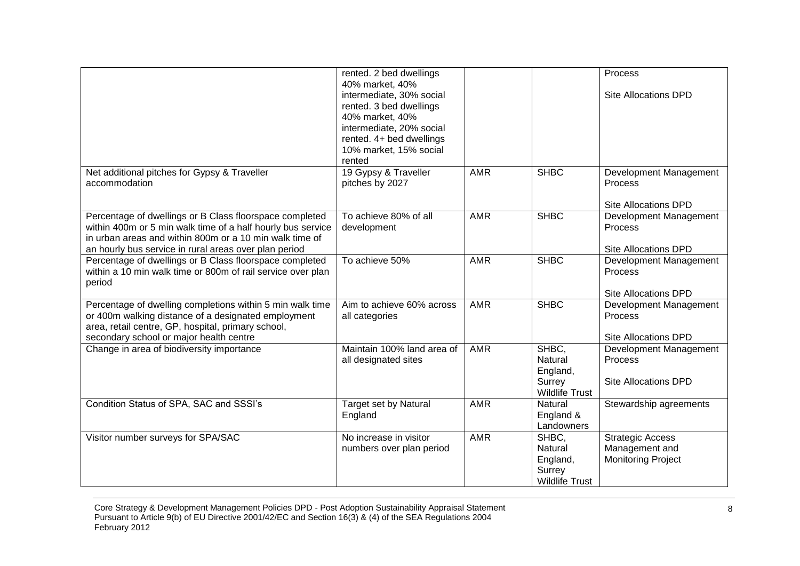|                                                                                                                                                                                                                                            | rented. 2 bed dwellings<br>40% market, 40%<br>intermediate, 30% social<br>rented. 3 bed dwellings<br>40% market, 40%<br>intermediate, 20% social<br>rented. 4+ bed dwellings<br>10% market, 15% social<br>rented |            |                                                                 | Process<br><b>Site Allocations DPD</b>                                 |
|--------------------------------------------------------------------------------------------------------------------------------------------------------------------------------------------------------------------------------------------|------------------------------------------------------------------------------------------------------------------------------------------------------------------------------------------------------------------|------------|-----------------------------------------------------------------|------------------------------------------------------------------------|
| Net additional pitches for Gypsy & Traveller<br>accommodation                                                                                                                                                                              | 19 Gypsy & Traveller<br>pitches by 2027                                                                                                                                                                          | <b>AMR</b> | <b>SHBC</b>                                                     | Development Management<br>Process<br><b>Site Allocations DPD</b>       |
| Percentage of dwellings or B Class floorspace completed<br>within 400m or 5 min walk time of a half hourly bus service<br>in urban areas and within 800m or a 10 min walk time of<br>an hourly bus service in rural areas over plan period | To achieve 80% of all<br>development                                                                                                                                                                             | <b>AMR</b> | <b>SHBC</b>                                                     | Development Management<br>Process<br><b>Site Allocations DPD</b>       |
| Percentage of dwellings or B Class floorspace completed<br>within a 10 min walk time or 800m of rail service over plan<br>period                                                                                                           | To achieve 50%                                                                                                                                                                                                   | <b>AMR</b> | <b>SHBC</b>                                                     | Development Management<br>Process<br><b>Site Allocations DPD</b>       |
| Percentage of dwelling completions within 5 min walk time<br>or 400m walking distance of a designated employment<br>area, retail centre, GP, hospital, primary school,<br>secondary school or major health centre                          | Aim to achieve 60% across<br>all categories                                                                                                                                                                      | <b>AMR</b> | <b>SHBC</b>                                                     | Development Management<br>Process<br><b>Site Allocations DPD</b>       |
| Change in area of biodiversity importance                                                                                                                                                                                                  | Maintain 100% land area of<br>all designated sites                                                                                                                                                               | <b>AMR</b> | SHBC.<br>Natural<br>England,<br>Surrey<br><b>Wildlife Trust</b> | Development Management<br>Process<br><b>Site Allocations DPD</b>       |
| Condition Status of SPA, SAC and SSSI's                                                                                                                                                                                                    | Target set by Natural<br>England                                                                                                                                                                                 | <b>AMR</b> | Natural<br>England &<br>Landowners                              | Stewardship agreements                                                 |
| Visitor number surveys for SPA/SAC                                                                                                                                                                                                         | No increase in visitor<br>numbers over plan period                                                                                                                                                               | <b>AMR</b> | SHBC.<br>Natural<br>England,<br>Surrey<br><b>Wildlife Trust</b> | <b>Strategic Access</b><br>Management and<br><b>Monitoring Project</b> |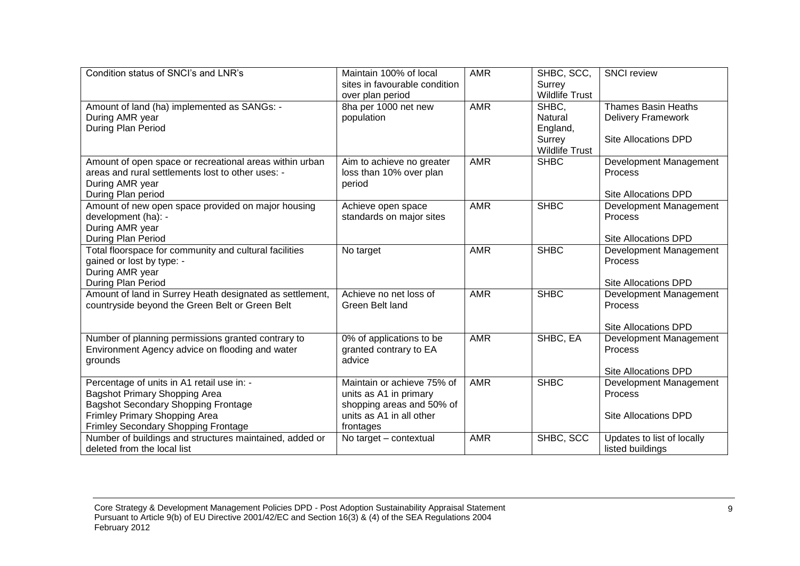| Condition status of SNCI's and LNR's                     | Maintain 100% of local<br>sites in favourable condition | <b>AMR</b> | SHBC, SCC,<br>Surrey  | <b>SNCI</b> review          |
|----------------------------------------------------------|---------------------------------------------------------|------------|-----------------------|-----------------------------|
|                                                          | over plan period                                        |            | <b>Wildlife Trust</b> |                             |
| Amount of land (ha) implemented as SANGs: -              | 8ha per 1000 net new                                    | <b>AMR</b> | SHBC,                 | <b>Thames Basin Heaths</b>  |
| During AMR year                                          | population                                              |            | Natural               | <b>Delivery Framework</b>   |
| During Plan Period                                       |                                                         |            | England,              |                             |
|                                                          |                                                         |            | Surrey                | Site Allocations DPD        |
|                                                          |                                                         |            | <b>Wildlife Trust</b> |                             |
| Amount of open space or recreational areas within urban  | Aim to achieve no greater                               | <b>AMR</b> | <b>SHBC</b>           | Development Management      |
| areas and rural settlements lost to other uses: -        | loss than 10% over plan                                 |            |                       | Process                     |
| During AMR year                                          | period                                                  |            |                       |                             |
| During Plan period                                       |                                                         |            |                       | <b>Site Allocations DPD</b> |
| Amount of new open space provided on major housing       | Achieve open space                                      | <b>AMR</b> | <b>SHBC</b>           | Development Management      |
| development (ha): -                                      | standards on major sites                                |            |                       | Process                     |
| During AMR year                                          |                                                         |            |                       |                             |
| During Plan Period                                       |                                                         |            |                       | <b>Site Allocations DPD</b> |
| Total floorspace for community and cultural facilities   | No target                                               | <b>AMR</b> | <b>SHBC</b>           | Development Management      |
| gained or lost by type: -                                |                                                         |            |                       | Process                     |
| During AMR year                                          |                                                         |            |                       |                             |
| During Plan Period                                       |                                                         |            |                       | Site Allocations DPD        |
| Amount of land in Surrey Heath designated as settlement, | Achieve no net loss of                                  | <b>AMR</b> | <b>SHBC</b>           | Development Management      |
| countryside beyond the Green Belt or Green Belt          | Green Belt land                                         |            |                       | Process                     |
|                                                          |                                                         |            |                       |                             |
|                                                          |                                                         |            |                       | <b>Site Allocations DPD</b> |
| Number of planning permissions granted contrary to       | 0% of applications to be                                | <b>AMR</b> | SHBC, EA              | Development Management      |
| Environment Agency advice on flooding and water          | granted contrary to EA                                  |            |                       | Process                     |
| grounds                                                  | advice                                                  |            |                       |                             |
|                                                          |                                                         |            |                       | <b>Site Allocations DPD</b> |
| Percentage of units in A1 retail use in: -               | Maintain or achieve 75% of                              | <b>AMR</b> | <b>SHBC</b>           | Development Management      |
| Bagshot Primary Shopping Area                            | units as A1 in primary                                  |            |                       | Process                     |
| <b>Bagshot Secondary Shopping Frontage</b>               | shopping areas and 50% of                               |            |                       |                             |
| Frimley Primary Shopping Area                            | units as A1 in all other                                |            |                       | Site Allocations DPD        |
| Frimley Secondary Shopping Frontage                      | frontages                                               |            |                       |                             |
| Number of buildings and structures maintained, added or  | No target - contextual                                  | <b>AMR</b> | SHBC, SCC             | Updates to list of locally  |
| deleted from the local list                              |                                                         |            |                       | listed buildings            |